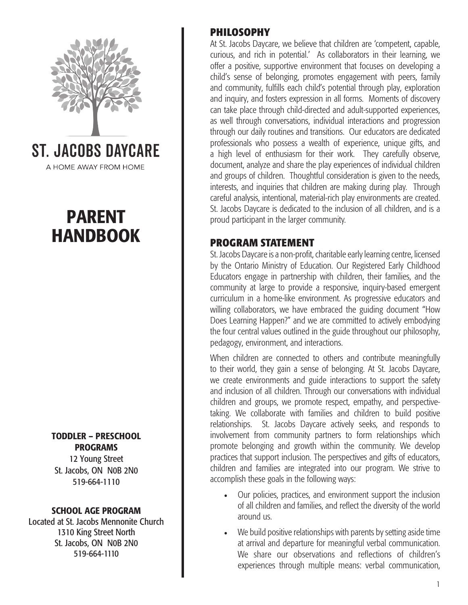

A HOME AWAY FROM HOME

## PARENT HANDBOOK

TODDLER – PRESCHOOL PROGRAMS

12 Young Street St. Jacobs, ON N0B 2N0 519-664-1110

#### SCHOOL AGE PROGRAM

Located at St. Jacobs Mennonite Church 1310 King Street North St. Jacobs, ON N0B 2N0 519-664-1110

## **PHILOSOPHY**

At St. Jacobs Daycare, we believe that children are 'competent, capable, curious, and rich in potential.' As collaborators in their learning, we offer a positive, supportive environment that focuses on developing a child's sense of belonging, promotes engagement with peers, family and community, fulfills each child's potential through play, exploration and inquiry, and fosters expression in all forms. Moments of discovery can take place through child-directed and adult-supported experiences, as well through conversations, individual interactions and progression through our daily routines and transitions. Our educators are dedicated professionals who possess a wealth of experience, unique gifts, and a high level of enthusiasm for their work. They carefully observe, document, analyze and share the play experiences of individual children and groups of children. Thoughtful consideration is given to the needs, interests, and inquiries that children are making during play. Through careful analysis, intentional, material-rich play environments are created. St. Jacobs Daycare is dedicated to the inclusion of all children, and is a proud participant in the larger community.

#### **PROGRAM STATEMENT**

St. Jacobs Daycare is a non-profit, charitable early learning centre, licensed by the Ontario Ministry of Education. Our Registered Early Childhood Educators engage in partnership with children, their families, and the community at large to provide a responsive, inquiry-based emergent curriculum in a home-like environment. As progressive educators and willing collaborators, we have embraced the guiding document "How Does Learning Happen?" and we are committed to actively embodying the four central values outlined in the guide throughout our philosophy, pedagogy, environment, and interactions.

When children are connected to others and contribute meaningfully to their world, they gain a sense of belonging. At St. Jacobs Daycare, we create environments and guide interactions to support the safety and inclusion of all children. Through our conversations with individual children and groups, we promote respect, empathy, and perspectivetaking. We collaborate with families and children to build positive relationships. St. Jacobs Daycare actively seeks, and responds to involvement from community partners to form relationships which promote belonging and growth within the community. We develop practices that support inclusion. The perspectives and gifts of educators, children and families are integrated into our program. We strive to accomplish these goals in the following ways:

- Our policies, practices, and environment support the inclusion of all children and families, and reflect the diversity of the world around us.
- We build positive relationships with parents by setting aside time at arrival and departure for meaningful verbal communication. We share our observations and reflections of children's experiences through multiple means: verbal communication,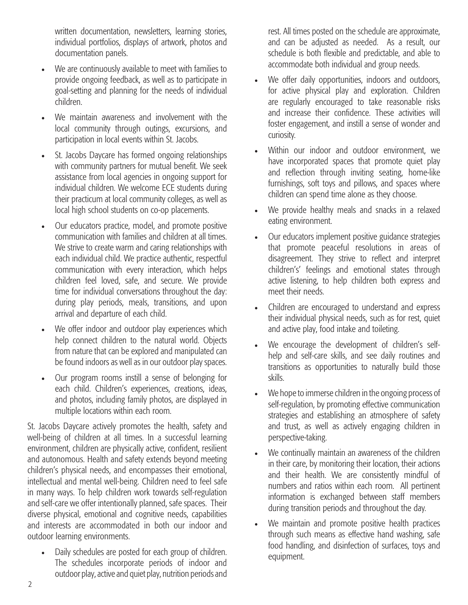written documentation, newsletters, learning stories, individual portfolios, displays of artwork, photos and documentation panels.

- We are continuously available to meet with families to provide ongoing feedback, as well as to participate in goal-setting and planning for the needs of individual children.
- We maintain awareness and involvement with the local community through outings, excursions, and participation in local events within St. Jacobs.
- St. Jacobs Daycare has formed ongoing relationships with community partners for mutual benefit. We seek assistance from local agencies in ongoing support for individual children. We welcome ECE students during their practicum at local community colleges, as well as local high school students on co-op placements.
- Our educators practice, model, and promote positive communication with families and children at all times. We strive to create warm and caring relationships with each individual child. We practice authentic, respectful communication with every interaction, which helps children feel loved, safe, and secure. We provide time for individual conversations throughout the day: during play periods, meals, transitions, and upon arrival and departure of each child.
- We offer indoor and outdoor play experiences which help connect children to the natural world. Objects from nature that can be explored and manipulated can be found indoors as well as in our outdoor play spaces.
- Our program rooms instill a sense of belonging for each child. Children's experiences, creations, ideas, and photos, including family photos, are displayed in multiple locations within each room.

St. Jacobs Daycare actively promotes the health, safety and well-being of children at all times. In a successful learning environment, children are physically active, confident, resilient and autonomous. Health and safety extends beyond meeting children's physical needs, and encompasses their emotional, intellectual and mental well-being. Children need to feel safe in many ways. To help children work towards self-regulation and self-care we offer intentionally planned, safe spaces. Their diverse physical, emotional and cognitive needs, capabilities and interests are accommodated in both our indoor and outdoor learning environments.

• Daily schedules are posted for each group of children. The schedules incorporate periods of indoor and outdoor play, active and quiet play, nutrition periods and

rest. All times posted on the schedule are approximate, and can be adjusted as needed. As a result, our schedule is both flexible and predictable, and able to accommodate both individual and group needs.

- We offer daily opportunities, indoors and outdoors, for active physical play and exploration. Children are regularly encouraged to take reasonable risks and increase their confidence. These activities will foster engagement, and instill a sense of wonder and curiosity.
- Within our indoor and outdoor environment, we have incorporated spaces that promote quiet play and reflection through inviting seating, home-like furnishings, soft toys and pillows, and spaces where children can spend time alone as they choose.
- We provide healthy meals and snacks in a relaxed eating environment.
- Our educators implement positive guidance strategies that promote peaceful resolutions in areas of disagreement. They strive to reflect and interpret children's' feelings and emotional states through active listening, to help children both express and meet their needs.
- Children are encouraged to understand and express their individual physical needs, such as for rest, quiet and active play, food intake and toileting.
- We encourage the development of children's selfhelp and self-care skills, and see daily routines and transitions as opportunities to naturally build those skills.
- We hope to immerse children in the ongoing process of self-regulation, by promoting effective communication strategies and establishing an atmosphere of safety and trust, as well as actively engaging children in perspective-taking.
- We continually maintain an awareness of the children in their care, by monitoring their location, their actions and their health. We are consistently mindful of numbers and ratios within each room. All pertinent information is exchanged between staff members during transition periods and throughout the day.
- We maintain and promote positive health practices through such means as effective hand washing, safe food handling, and disinfection of surfaces, toys and equipment.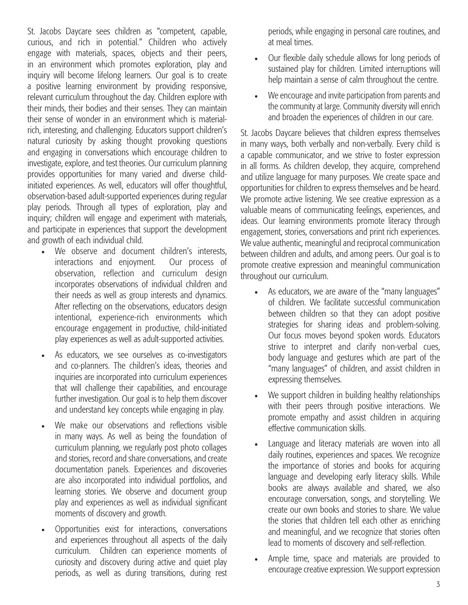St. Jacobs Daycare sees children as "competent, capable, curious, and rich in potential." Children who actively engage with materials, spaces, objects and their peers, in an environment which promotes exploration, play and inquiry will become lifelong learners. Our goal is to create a positive learning environment by providing responsive, relevant curriculum throughout the day. Children explore with their minds, their bodies and their senses. They can maintain their sense of wonder in an environment which is materialrich, interesting, and challenging. Educators support children's natural curiosity by asking thought provoking questions and engaging in conversations which encourage children to investigate, explore, and test theories. Our curriculum planning provides opportunities for many varied and diverse childinitiated experiences. As well, educators will offer thoughtful, observation-based adult-supported experiences during regular play periods. Through all types of exploration, play and inquiry; children will engage and experiment with materials, and participate in experiences that support the development and growth of each individual child.

- We observe and document children's interests, interactions and enjoyment. Our process of observation, reflection and curriculum design incorporates observations of individual children and their needs as well as group interests and dynamics. After reflecting on the observations, educators design intentional, experience-rich environments which encourage engagement in productive, child-initiated play experiences as well as adult-supported activities.
- As educators, we see ourselves as co-investigators and co-planners. The children's ideas, theories and inquiries are incorporated into curriculum experiences that will challenge their capabilities, and encourage further investigation. Our goal is to help them discover and understand key concepts while engaging in play.
- We make our observations and reflections visible in many ways. As well as being the foundation of curriculum planning, we regularly post photo collages and stories, record and share conversations, and create documentation panels. Experiences and discoveries are also incorporated into individual portfolios, and learning stories. We observe and document group play and experiences as well as individual significant moments of discovery and growth.
- Opportunities exist for interactions, conversations and experiences throughout all aspects of the daily curriculum. Children can experience moments of curiosity and discovery during active and quiet play periods, as well as during transitions, during rest

periods, while engaging in personal care routines, and at meal times.

- Our flexible daily schedule allows for long periods of sustained play for children. Limited interruptions will help maintain a sense of calm throughout the centre.
- We encourage and invite participation from parents and the community at large. Community diversity will enrich and broaden the experiences of children in our care.

St. Jacobs Daycare believes that children express themselves in many ways, both verbally and non-verbally. Every child is a capable communicator, and we strive to foster expression in all forms. As children develop, they acquire, comprehend and utilize language for many purposes. We create space and opportunities for children to express themselves and be heard. We promote active listening. We see creative expression as a valuable means of communicating feelings, experiences, and ideas. Our learning environments promote literacy through engagement, stories, conversations and print rich experiences. We value authentic, meaningful and reciprocal communication between children and adults, and among peers. Our goal is to promote creative expression and meaningful communication throughout our curriculum.

- As educators, we are aware of the "many languages" of children. We facilitate successful communication between children so that they can adopt positive strategies for sharing ideas and problem-solving. Our focus moves beyond spoken words. Educators strive to interpret and clarify non-verbal cues, body language and gestures which are part of the "many languages" of children, and assist children in expressing themselves.
- We support children in building healthy relationships with their peers through positive interactions. We promote empathy and assist children in acquiring effective communication skills.
- Language and literacy materials are woven into all daily routines, experiences and spaces. We recognize the importance of stories and books for acquiring language and developing early literacy skills. While books are always available and shared, we also encourage conversation, songs, and storytelling. We create our own books and stories to share. We value the stories that children tell each other as enriching and meaningful, and we recognize that stories often lead to moments of discovery and self-reflection.
- Ample time, space and materials are provided to encourage creative expression. We support expression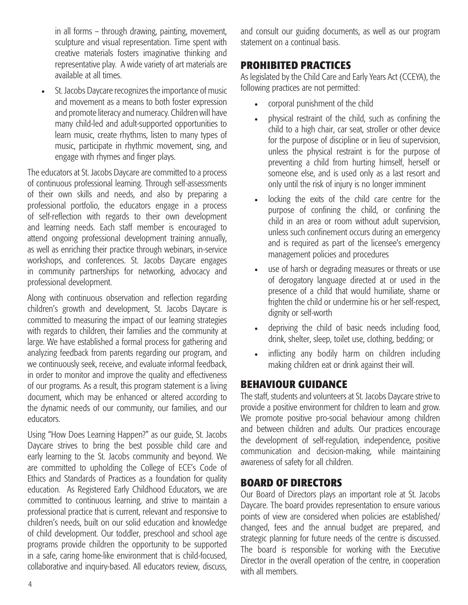in all forms – through drawing, painting, movement, sculpture and visual representation. Time spent with creative materials fosters imaginative thinking and representative play. A wide variety of art materials are available at all times.

St. Jacobs Daycare recognizes the importance of music and movement as a means to both foster expression and promote literacy and numeracy. Children will have many child-led and adult-supported opportunities to learn music, create rhythms, listen to many types of music, participate in rhythmic movement, sing, and engage with rhymes and finger plays.

The educators at St. Jacobs Daycare are committed to a process of continuous professional learning. Through self-assessments of their own skills and needs, and also by preparing a professional portfolio, the educators engage in a process of self-reflection with regards to their own development and learning needs. Each staff member is encouraged to attend ongoing professional development training annually, as well as enriching their practice through webinars, in-service workshops, and conferences. St. Jacobs Daycare engages in community partnerships for networking, advocacy and professional development.

Along with continuous observation and reflection regarding children's growth and development, St. Jacobs Daycare is committed to measuring the impact of our learning strategies with regards to children, their families and the community at large. We have established a formal process for gathering and analyzing feedback from parents regarding our program, and we continuously seek, receive, and evaluate informal feedback, in order to monitor and improve the quality and effectiveness of our programs. As a result, this program statement is a living document, which may be enhanced or altered according to the dynamic needs of our community, our families, and our educators.

Using "How Does Learning Happen?" as our guide, St. Jacobs Daycare strives to bring the best possible child care and early learning to the St. Jacobs community and beyond. We are committed to upholding the College of ECE's Code of Ethics and Standards of Practices as a foundation for quality education. As Registered Early Childhood Educators, we are committed to continuous learning, and strive to maintain a professional practice that is current, relevant and responsive to children's needs, built on our solid education and knowledge of child development. Our toddler, preschool and school age programs provide children the opportunity to be supported in a safe, caring home-like environment that is child-focused, collaborative and inquiry-based. All educators review, discuss, and consult our guiding documents, as well as our program statement on a continual basis.

## **PROHIBITED PRACTICES**

As legislated by the Child Care and Early Years Act (CCEYA), the following practices are not permitted:

- corporal punishment of the child
- physical restraint of the child, such as confining the child to a high chair, car seat, stroller or other device for the purpose of discipline or in lieu of supervision, unless the physical restraint is for the purpose of preventing a child from hurting himself, herself or someone else, and is used only as a last resort and only until the risk of injury is no longer imminent
- locking the exits of the child care centre for the purpose of confining the child, or confining the child in an area or room without adult supervision, unless such confinement occurs during an emergency and is required as part of the licensee's emergency management policies and procedures
- use of harsh or degrading measures or threats or use of derogatory language directed at or used in the presence of a child that would humiliate, shame or frighten the child or undermine his or her self-respect, dignity or self-worth
- depriving the child of basic needs including food, drink, shelter, sleep, toilet use, clothing, bedding; or
- inflicting any bodily harm on children including making children eat or drink against their will.

## **BEHAVIOUR GUIDANCE**

The staff, students and volunteers at St. Jacobs Daycare strive to provide a positive environment for children to learn and grow. We promote positive pro-social behaviour among children and between children and adults. Our practices encourage the development of self-regulation, independence, positive communication and decision-making, while maintaining awareness of safety for all children.

## **BOARD OF DIRECTORS**

Our Board of Directors plays an important role at St. Jacobs Daycare. The board provides representation to ensure various points of view are considered when policies are established/ changed, fees and the annual budget are prepared, and strategic planning for future needs of the centre is discussed. The board is responsible for working with the Executive Director in the overall operation of the centre, in cooperation with all members.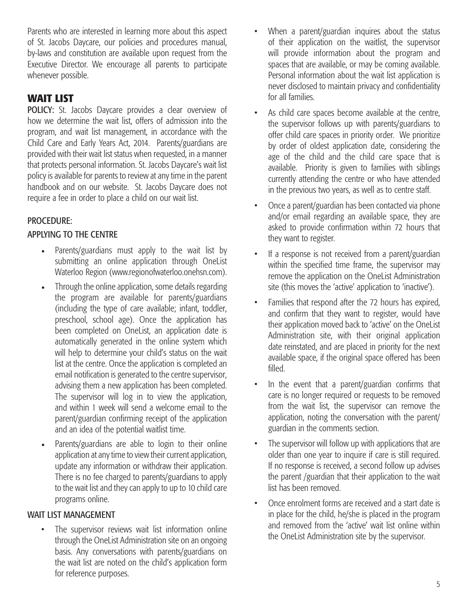Parents who are interested in learning more about this aspect of St. Jacobs Daycare, our policies and procedures manual, by-laws and constitution are available upon request from the Executive Director. We encourage all parents to participate whenever possible.

## **WAIT LIST**

POLICY: St. Jacobs Daycare provides a clear overview of how we determine the wait list, offers of admission into the program, and wait list management, in accordance with the Child Care and Early Years Act, 2014. Parents/guardians are provided with their wait list status when requested, in a manner that protects personal information. St. Jacobs Daycare's wait list policy is available for parents to review at any time in the parent handbook and on our website. St. Jacobs Daycare does not require a fee in order to place a child on our wait list.

## PROCEDURE:

#### APPLYING TO THE CENTRE

- Parents/guardians must apply to the wait list by submitting an online application through OneList Waterloo Region (www.regionofwaterloo.onehsn.com).
- Through the online application, some details regarding the program are available for parents/guardians (including the type of care available; infant, toddler, preschool, school age). Once the application has been completed on OneList, an application date is automatically generated in the online system which will help to determine your child's status on the wait list at the centre. Once the application is completed an email notification is generated to the centre supervisor, advising them a new application has been completed. The supervisor will log in to view the application, and within 1 week will send a welcome email to the parent/guardian confirming receipt of the application and an idea of the potential waitlist time.
- Parents/guardians are able to login to their online application at any time to view their current application, update any information or withdraw their application. There is no fee charged to parents/guardians to apply to the wait list and they can apply to up to 10 child care programs online.

#### WAIT LIST MANAGEMENT

The supervisor reviews wait list information online through the OneList Administration site on an ongoing basis. Any conversations with parents/guardians on the wait list are noted on the child's application form for reference purposes.

- When a parent/guardian inquires about the status of their application on the waitlist, the supervisor will provide information about the program and spaces that are available, or may be coming available. Personal information about the wait list application is never disclosed to maintain privacy and confidentiality for all families.
- As child care spaces become available at the centre, the supervisor follows up with parents/guardians to offer child care spaces in priority order. We prioritize by order of oldest application date, considering the age of the child and the child care space that is available. Priority is given to families with siblings currently attending the centre or who have attended in the previous two years, as well as to centre staff.
- Once a parent/guardian has been contacted via phone and/or email regarding an available space, they are asked to provide confirmation within 72 hours that they want to register.
- If a response is not received from a parent/guardian within the specified time frame, the supervisor may remove the application on the OneList Administration site (this moves the 'active' application to 'inactive').
- Families that respond after the 72 hours has expired, and confirm that they want to register, would have their application moved back to 'active' on the OneList Administration site, with their original application date reinstated, and are placed in priority for the next available space, if the original space offered has been filled.
- In the event that a parent/guardian confirms that care is no longer required or requests to be removed from the wait list, the supervisor can remove the application, noting the conversation with the parent/ guardian in the comments section.
- The supervisor will follow up with applications that are older than one year to inquire if care is still required. If no response is received, a second follow up advises the parent /guardian that their application to the wait list has been removed.
- Once enrolment forms are received and a start date is in place for the child, he/she is placed in the program and removed from the 'active' wait list online within the OneList Administration site by the supervisor.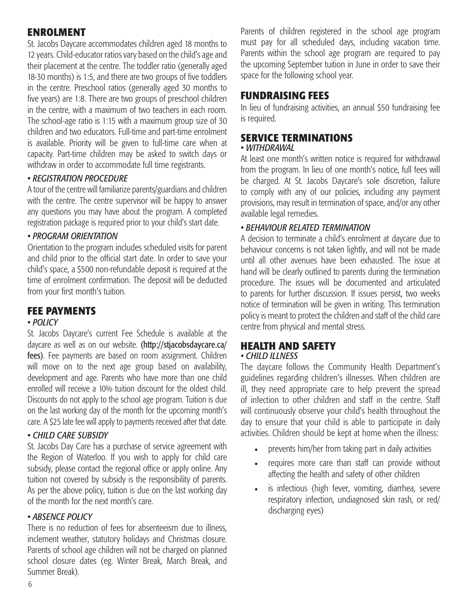## **ENROLMENT**

St. Jacobs Daycare accommodates children aged 18 months to 12 years. Child-educator ratios vary based on the child's age and their placement at the centre. The toddler ratio (generally aged 18-30 months) is 1:5, and there are two groups of five toddlers in the centre. Preschool ratios (generally aged 30 months to five years) are 1:8. There are two groups of preschool children in the centre, with a maximum of two teachers in each room. The school-age ratio is 1:15 with a maximum group size of 30 children and two educators. Full-time and part-time enrolment is available. Priority will be given to full-time care when at capacity. Part-time children may be asked to switch days or withdraw in order to accommodate full time registrants.

#### *• REGISTRATION PROCEDURE*

A tour of the centre will familiarize parents/guardians and children with the centre. The centre supervisor will be happy to answer any questions you may have about the program. A completed registration package is required prior to your child's start date.

#### *• PROGRAM ORIENTATION*

Orientation to the program includes scheduled visits for parent and child prior to the official start date. In order to save your child's space, a \$500 non-refundable deposit is required at the time of enrolment confirmation. The deposit will be deducted from your first month's tuition.

#### **FEE PAYMENTS**

#### *• POLICY*

St. Jacobs Daycare's current Fee Schedule is available at the daycare as well as on our website. (http://stjacobsdaycare.ca/ fees). Fee payments are based on room assignment. Children will move on to the next age group based on availability, development and age. Parents who have more than one child enrolled will receive a 10% tuition discount for the oldest child. Discounts do not apply to the school age program. Tuition is due on the last working day of the month for the upcoming month's care. A \$25 late fee will apply to payments received after that date.

#### *• CHILD CARE SUBSIDY*

St. Jacobs Day Care has a purchase of service agreement with the Region of Waterloo. If you wish to apply for child care subsidy, please contact the regional office or apply online. Any tuition not covered by subsidy is the responsibility of parents. As per the above policy, tuition is due on the last working day of the month for the next month's care.

#### *• ABSENCE POLICY*

There is no reduction of fees for absenteeism due to illness, inclement weather, statutory holidays and Christmas closure. Parents of school age children will not be charged on planned school closure dates (eg. Winter Break, March Break, and Summer Break).

Parents of children registered in the school age program must pay for all scheduled days, including vacation time. Parents within the school age program are required to pay the upcoming September tuition in June in order to save their space for the following school year.

#### **FUNDRAISING FEES**

In lieu of fundraising activities, an annual \$50 fundraising fee is required.

#### **SERVICE TERMINATIONS**

#### *• WITHDRAWAL*

At least one month's written notice is required for withdrawal from the program. In lieu of one month's notice, full fees will be charged. At St. Jacobs Daycare's sole discretion, failure to comply with any of our policies, including any payment provisions, may result in termination of space, and/or any other available legal remedies.

#### *• BEHAVIOUR RELATED TERMINATION*

A decision to terminate a child's enrolment at daycare due to behaviour concerns is not taken lightly, and will not be made until all other avenues have been exhausted. The issue at hand will be clearly outlined to parents during the termination procedure. The issues will be documented and articulated to parents for further discussion. If issues persist, two weeks notice of termination will be given in writing. This termination policy is meant to protect the children and staff of the child care centre from physical and mental stress.

#### **HEALTH AND SAFETY** *• CHILD ILLNESS*

The daycare follows the Community Health Department's guidelines regarding children's illnesses. When children are ill, they need appropriate care to help prevent the spread of infection to other children and staff in the centre. Staff will continuously observe your child's health throughout the day to ensure that your child is able to participate in daily activities. Children should be kept at home when the illness:

- prevents him/her from taking part in daily activities
- requires more care than staff can provide without affecting the health and safety of other children
- is infectious (high fever, vomiting, diarrhea, severe respiratory infection, undiagnosed skin rash, or red/ discharging eyes)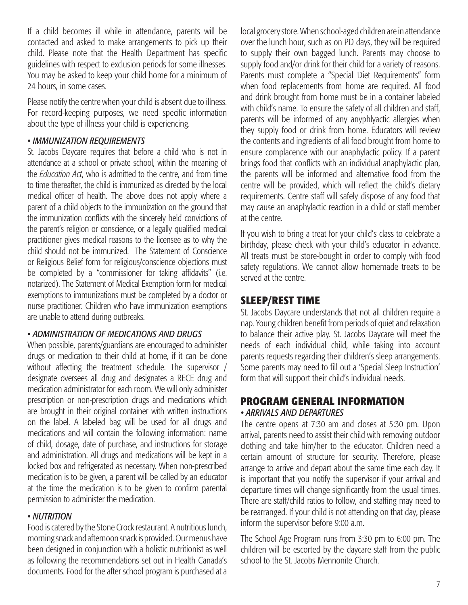If a child becomes ill while in attendance, parents will be contacted and asked to make arrangements to pick up their child. Please note that the Health Department has specific guidelines with respect to exclusion periods for some illnesses. You may be asked to keep your child home for a minimum of 24 hours, in some cases.

Please notify the centre when your child is absent due to illness. For record-keeping purposes, we need specific information about the type of illness your child is experiencing.

#### *• IMMUNIZATION REQUIREMENTS*

St. Jacobs Daycare requires that before a child who is not in attendance at a school or private school, within the meaning of the *Education Act*, who is admitted to the centre, and from time to time thereafter, the child is immunized as directed by the local medical officer of health. The above does not apply where a parent of a child objects to the immunization on the ground that the immunization conflicts with the sincerely held convictions of the parent's religion or conscience, or a legally qualified medical practitioner gives medical reasons to the licensee as to why the child should not be immunized. The Statement of Conscience or Religious Belief form for religious/conscience objections must be completed by a "commissioner for taking affidavits" (i.e. notarized). The Statement of Medical Exemption form for medical exemptions to immunizations must be completed by a doctor or nurse practitioner. Children who have immunization exemptions are unable to attend during outbreaks.

#### *• ADMINISTRATION OF MEDICATIONS AND DRUGS*

When possible, parents/guardians are encouraged to administer drugs or medication to their child at home, if it can be done without affecting the treatment schedule. The supervisor / designate oversees all drug and designates a RECE drug and medication administrator for each room. We will only administer prescription or non-prescription drugs and medications which are brought in their original container with written instructions on the label. A labeled bag will be used for all drugs and medications and will contain the following information: name of child, dosage, date of purchase, and instructions for storage and administration. All drugs and medications will be kept in a locked box and refrigerated as necessary. When non-prescribed medication is to be given, a parent will be called by an educator at the time the medication is to be given to confirm parental permission to administer the medication.

#### *• NUTRITION*

Food is catered by the Stone Crock restaurant. A nutritious lunch, morning snack and afternoon snack is provided. Our menus have been designed in conjunction with a holistic nutritionist as well as following the recommendations set out in Health Canada's documents. Food for the after school program is purchased at a

local grocery store. When school-aged children are in attendance over the lunch hour, such as on PD days, they will be required to supply their own bagged lunch. Parents may choose to supply food and/or drink for their child for a variety of reasons. Parents must complete a "Special Diet Requirements" form when food replacements from home are required. All food and drink brought from home must be in a container labeled with child's name. To ensure the safety of all children and staff, parents will be informed of any anyphlyactic allergies when they supply food or drink from home. Educators will review the contents and ingredients of all food brought from home to ensure complacence with our anaphylactic policy. If a parent brings food that conflicts with an individual anaphylactic plan, the parents will be informed and alternative food from the centre will be provided, which will reflect the child's dietary requirements. Centre staff will safely dispose of any food that may cause an anaphylactic reaction in a child or staff member at the centre.

If you wish to bring a treat for your child's class to celebrate a birthday, please check with your child's educator in advance. All treats must be store-bought in order to comply with food safety regulations. We cannot allow homemade treats to be served at the centre.

#### **SLEEP/REST TIME**

St. Jacobs Daycare understands that not all children require a nap. Young children benefit from periods of quiet and relaxation to balance their active play. St. Jacobs Daycare will meet the needs of each individual child, while taking into account parents requests regarding their children's sleep arrangements. Some parents may need to fill out a 'Special Sleep Instruction' form that will support their child's individual needs.

#### **PROGRAM GENERAL INFORMATION** *• ARRIVALS AND DEPARTURES*

The centre opens at 7:30 am and closes at 5:30 pm. Upon arrival, parents need to assist their child with removing outdoor clothing and take him/her to the educator. Children need a certain amount of structure for security. Therefore, please arrange to arrive and depart about the same time each day. It is important that you notify the supervisor if your arrival and departure times will change significantly from the usual times. There are staff/child ratios to follow, and staffing may need to be rearranged. If your child is not attending on that day, please inform the supervisor before 9:00 a.m.

The School Age Program runs from 3:30 pm to 6:00 pm. The children will be escorted by the daycare staff from the public school to the St. Jacobs Mennonite Church.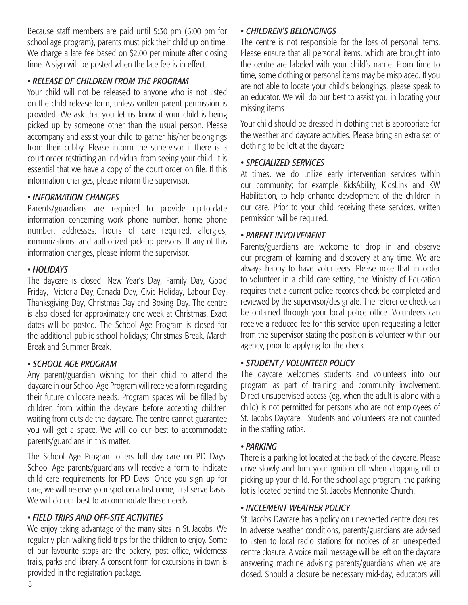Because staff members are paid until 5:30 pm (6:00 pm for school age program), parents must pick their child up on time. We charge a late fee based on \$2.00 per minute after closing time. A sign will be posted when the late fee is in effect.

#### *• RELEASE OF CHILDREN FROM THE PROGRAM*

Your child will not be released to anyone who is not listed on the child release form, unless written parent permission is provided. We ask that you let us know if your child is being picked up by someone other than the usual person. Please accompany and assist your child to gather his/her belongings from their cubby. Please inform the supervisor if there is a court order restricting an individual from seeing your child. It is essential that we have a copy of the court order on file. If this information changes, please inform the supervisor.

#### *• INFORMATION CHANGES*

Parents/guardians are required to provide up-to-date information concerning work phone number, home phone number, addresses, hours of care required, allergies, immunizations, and authorized pick-up persons. If any of this information changes, please inform the supervisor.

#### *• HOLIDAYS*

The daycare is closed: New Year's Day, Family Day, Good Friday, Victoria Day, Canada Day, Civic Holiday, Labour Day, Thanksgiving Day, Christmas Day and Boxing Day. The centre is also closed for approximately one week at Christmas. Exact dates will be posted. The School Age Program is closed for the additional public school holidays; Christmas Break, March Break and Summer Break.

#### *• SCHOOL AGE PROGRAM*

Any parent/guardian wishing for their child to attend the daycare in our School Age Program will receive a form regarding their future childcare needs. Program spaces will be filled by children from within the daycare before accepting children waiting from outside the daycare. The centre cannot guarantee you will get a space. We will do our best to accommodate parents/guardians in this matter.

The School Age Program offers full day care on PD Days. School Age parents/guardians will receive a form to indicate child care requirements for PD Days. Once you sign up for care, we will reserve your spot on a first come, first serve basis. We will do our best to accommodate these needs.

#### *• FIELD TRIPS AND OFF-SITE ACTIVITIES*

We enjoy taking advantage of the many sites in St. Jacobs. We regularly plan walking field trips for the children to enjoy. Some of our favourite stops are the bakery, post office, wilderness trails, parks and library. A consent form for excursions in town is provided in the registration package.

#### *• CHILDREN'S BELONGINGS*

The centre is not responsible for the loss of personal items. Please ensure that all personal items, which are brought into the centre are labeled with your child's name. From time to time, some clothing or personal items may be misplaced. If you are not able to locate your child's belongings, please speak to an educator. We will do our best to assist you in locating your missing items.

Your child should be dressed in clothing that is appropriate for the weather and daycare activities. Please bring an extra set of clothing to be left at the daycare.

#### *• SPECIALIZED SERVICES*

At times, we do utilize early intervention services within our community; for example KidsAbility, KidsLink and KW Habilitation, to help enhance development of the children in our care. Prior to your child receiving these services, written permission will be required.

#### *• PARENT INVOLVEMENT*

Parents/guardians are welcome to drop in and observe our program of learning and discovery at any time. We are always happy to have volunteers. Please note that in order to volunteer in a child care setting, the Ministry of Education requires that a current police records check be completed and reviewed by the supervisor/designate. The reference check can be obtained through your local police office. Volunteers can receive a reduced fee for this service upon requesting a letter from the supervisor stating the position is volunteer within our agency, prior to applying for the check.

#### *• STUDENT / VOLUNTEER POLICY*

The daycare welcomes students and volunteers into our program as part of training and community involvement. Direct unsupervised access (eg. when the adult is alone with a child) is not permitted for persons who are not employees of St. Jacobs Daycare. Students and volunteers are not counted in the staffing ratios.

#### *• PARKING*

There is a parking lot located at the back of the daycare. Please drive slowly and turn your ignition off when dropping off or picking up your child. For the school age program, the parking lot is located behind the St. Jacobs Mennonite Church.

#### *• INCLEMENT WEATHER POLICY*

St. Jacobs Daycare has a policy on unexpected centre closures. In adverse weather conditions, parents/guardians are advised to listen to local radio stations for notices of an unexpected centre closure. A voice mail message will be left on the daycare answering machine advising parents/guardians when we are closed. Should a closure be necessary mid-day, educators will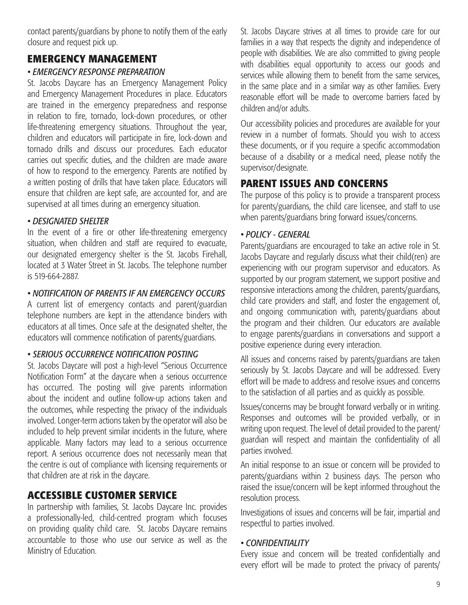contact parents/guardians by phone to notify them of the early closure and request pick up.

## **EMERGENCY MANAGEMENT**

#### *• EMERGENCY RESPONSE PREPARATION*

St. Jacobs Daycare has an Emergency Management Policy and Emergency Management Procedures in place. Educators are trained in the emergency preparedness and response in relation to fire, tornado, lock-down procedures, or other life-threatening emergency situations. Throughout the year, children and educators will participate in fire, lock-down and tornado drills and discuss our procedures. Each educator carries out specific duties, and the children are made aware of how to respond to the emergency. Parents are notified by a written posting of drills that have taken place. Educators will ensure that children are kept safe, are accounted for, and are supervised at all times during an emergency situation.

#### *• DESIGNATED SHELTER*

In the event of a fire or other life-threatening emergency situation, when children and staff are required to evacuate, our designated emergency shelter is the St. Jacobs Firehall, located at 3 Water Street in St. Jacobs. The telephone number is 519-664-2887.

#### *• NOTIFICATION OF PARENTS IF AN EMERGENCY OCCURS*

A current list of emergency contacts and parent/guardian telephone numbers are kept in the attendance binders with educators at all times. Once safe at the designated shelter, the educators will commence notification of parents/guardians.

#### *• SERIOUS OCCURRENCE NOTIFICATION POSTING*

St. Jacobs Daycare will post a high-level "Serious Occurrence Notification Form" at the daycare when a serious occurrence has occurred. The posting will give parents information about the incident and outline follow-up actions taken and the outcomes, while respecting the privacy of the individuals involved. Longer-term actions taken by the operator will also be included to help prevent similar incidents in the future, where applicable. Many factors may lead to a serious occurrence report. A serious occurrence does not necessarily mean that the centre is out of compliance with licensing requirements or that children are at risk in the daycare.

## **ACCESSIBLE CUSTOMER SERVICE**

In partnership with families, St. Jacobs Daycare Inc. provides a professionally-led, child-centred program which focuses on providing quality child care. St. Jacobs Daycare remains accountable to those who use our service as well as the Ministry of Education.

St. Jacobs Daycare strives at all times to provide care for our families in a way that respects the dignity and independence of people with disabilities. We are also committed to giving people with disabilities equal opportunity to access our goods and services while allowing them to benefit from the same services, in the same place and in a similar way as other families. Every reasonable effort will be made to overcome barriers faced by children and/or adults.

Our accessibility policies and procedures are available for your review in a number of formats. Should you wish to access these documents, or if you require a specific accommodation because of a disability or a medical need, please notify the supervisor/designate.

## **PARENT ISSUES AND CONCERNS**

The purpose of this policy is to provide a transparent process for parents/guardians, the child care licensee, and staff to use when parents/guardians bring forward issues/concerns.

#### *• POLICY - GENERAL*

Parents/guardians are encouraged to take an active role in St. Jacobs Daycare and regularly discuss what their child(ren) are experiencing with our program supervisor and educators. As supported by our program statement, we support positive and responsive interactions among the children, parents/guardians, child care providers and staff, and foster the engagement of, and ongoing communication with, parents/guardians about the program and their children. Our educators are available to engage parents/guardians in conversations and support a positive experience during every interaction.

All issues and concerns raised by parents/guardians are taken seriously by St. Jacobs Daycare and will be addressed. Every effort will be made to address and resolve issues and concerns to the satisfaction of all parties and as quickly as possible.

Issues/concerns may be brought forward verbally or in writing. Responses and outcomes will be provided verbally, or in writing upon request. The level of detail provided to the parent/ guardian will respect and maintain the confidentiality of all parties involved.

An initial response to an issue or concern will be provided to parents/guardians within 2 business days. The person who raised the issue/concern will be kept informed throughout the resolution process.

Investigations of issues and concerns will be fair, impartial and respectful to parties involved.

#### *• CONFIDENTIALITY*

Every issue and concern will be treated confidentially and every effort will be made to protect the privacy of parents/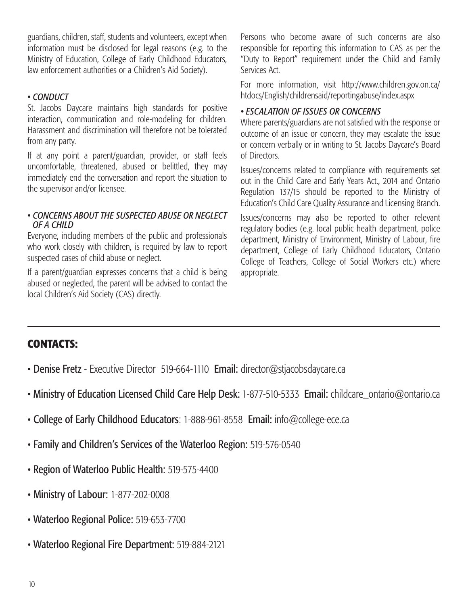guardians, children, staff, students and volunteers, except when information must be disclosed for legal reasons (e.g. to the Ministry of Education, College of Early Childhood Educators, law enforcement authorities or a Children's Aid Society).

#### *• CONDUCT*

St. Jacobs Daycare maintains high standards for positive interaction, communication and role-modeling for children. Harassment and discrimination will therefore not be tolerated from any party.

If at any point a parent/guardian, provider, or staff feels uncomfortable, threatened, abused or belittled, they may immediately end the conversation and report the situation to the supervisor and/or licensee.

#### *• CONCERNS ABOUT THE SUSPECTED ABUSE OR NEGLECT OF A CHILD*

Everyone, including members of the public and professionals who work closely with children, is required by law to report suspected cases of child abuse or neglect.

If a parent/guardian expresses concerns that a child is being abused or neglected, the parent will be advised to contact the local Children's Aid Society (CAS) directly.

Persons who become aware of such concerns are also responsible for reporting this information to CAS as per the "Duty to Report" requirement under the Child and Family Services Act.

For more information, visit http://www.children.gov.on.ca/ htdocs/English/childrensaid/reportingabuse/index.aspx

#### *• ESCALATION OF ISSUES OR CONCERNS*

Where parents/guardians are not satisfied with the response or outcome of an issue or concern, they may escalate the issue or concern verbally or in writing to St. Jacobs Daycare's Board of Directors.

Issues/concerns related to compliance with requirements set out in the Child Care and Early Years Act., 2014 and Ontario Regulation 137/15 should be reported to the Ministry of Education's Child Care Quality Assurance and Licensing Branch.

Issues/concerns may also be reported to other relevant regulatory bodies (e.g. local public health department, police department, Ministry of Environment, Ministry of Labour, fire department, College of Early Childhood Educators, Ontario College of Teachers, College of Social Workers etc.) where appropriate.

## **CONTACTS:**

- Denise Fretz Executive Director 519-664-1110 Email: director@stjacobsdaycare.ca
- Ministry of Education Licensed Child Care Help Desk: 1-877-510-5333 Email: childcare ontario@ontario.ca
- College of Early Childhood Educators: 1-888-961-8558 Email: info@college-ece.ca
- Family and Children's Services of the Waterloo Region: 519-576-0540
- Region of Waterloo Public Health: 519-575-4400
- Ministry of Labour: 1-877-202-0008
- Waterloo Regional Police: 519-653-7700
- Waterloo Regional Fire Department: 519-884-2121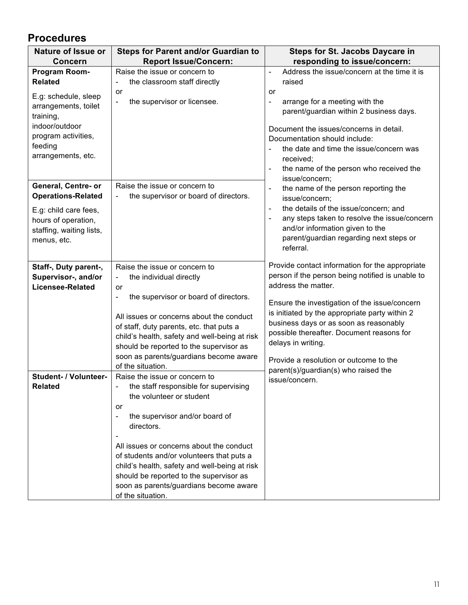## **Procedures**

| <b>Nature of Issue or</b>                                                                                                           | <b>Steps for Parent and/or Guardian to</b>                                                                                                                                                                                                                                                                                                                                         | <b>Steps for St. Jacobs Daycare in</b>                                                                                                                                                                                                                                                         |
|-------------------------------------------------------------------------------------------------------------------------------------|------------------------------------------------------------------------------------------------------------------------------------------------------------------------------------------------------------------------------------------------------------------------------------------------------------------------------------------------------------------------------------|------------------------------------------------------------------------------------------------------------------------------------------------------------------------------------------------------------------------------------------------------------------------------------------------|
| <b>Concern</b>                                                                                                                      | <b>Report Issue/Concern:</b>                                                                                                                                                                                                                                                                                                                                                       | responding to issue/concern:                                                                                                                                                                                                                                                                   |
| Program Room-                                                                                                                       | Raise the issue or concern to                                                                                                                                                                                                                                                                                                                                                      | Address the issue/concern at the time it is                                                                                                                                                                                                                                                    |
| <b>Related</b>                                                                                                                      | the classroom staff directly                                                                                                                                                                                                                                                                                                                                                       | raised                                                                                                                                                                                                                                                                                         |
| E.g: schedule, sleep<br>arrangements, toilet<br>training,<br>indoor/outdoor<br>program activities,<br>feeding<br>arrangements, etc. | or<br>the supervisor or licensee.<br>$\qquad \qquad \blacksquare$                                                                                                                                                                                                                                                                                                                  | or<br>arrange for a meeting with the<br>$\overline{\phantom{a}}$<br>parent/guardian within 2 business days.<br>Document the issues/concerns in detail.<br>Documentation should include:<br>the date and time the issue/concern was<br>received;<br>the name of the person who received the     |
|                                                                                                                                     |                                                                                                                                                                                                                                                                                                                                                                                    | issue/concern;                                                                                                                                                                                                                                                                                 |
| General, Centre- or<br><b>Operations-Related</b>                                                                                    | Raise the issue or concern to<br>the supervisor or board of directors.<br>$\blacksquare$                                                                                                                                                                                                                                                                                           | the name of the person reporting the<br>$\overline{\phantom{a}}$<br>issue/concern;                                                                                                                                                                                                             |
| E.g: child care fees,<br>hours of operation,<br>staffing, waiting lists,<br>menus, etc.                                             |                                                                                                                                                                                                                                                                                                                                                                                    | the details of the issue/concern; and<br>$\blacksquare$<br>any steps taken to resolve the issue/concern<br>and/or information given to the<br>parent/guardian regarding next steps or<br>referral.                                                                                             |
| Staff-, Duty parent-,                                                                                                               | Raise the issue or concern to                                                                                                                                                                                                                                                                                                                                                      | Provide contact information for the appropriate                                                                                                                                                                                                                                                |
| Supervisor-, and/or                                                                                                                 | the individual directly<br>$\overline{\phantom{a}}$                                                                                                                                                                                                                                                                                                                                | person if the person being notified is unable to                                                                                                                                                                                                                                               |
| <b>Licensee-Related</b>                                                                                                             | or                                                                                                                                                                                                                                                                                                                                                                                 | address the matter.                                                                                                                                                                                                                                                                            |
|                                                                                                                                     | the supervisor or board of directors.<br>-<br>All issues or concerns about the conduct<br>of staff, duty parents, etc. that puts a<br>child's health, safety and well-being at risk<br>should be reported to the supervisor as<br>soon as parents/guardians become aware<br>of the situation.                                                                                      | Ensure the investigation of the issue/concern<br>is initiated by the appropriate party within 2<br>business days or as soon as reasonably<br>possible thereafter. Document reasons for<br>delays in writing.<br>Provide a resolution or outcome to the<br>parent(s)/guardian(s) who raised the |
| <b>Student- / Volunteer-</b>                                                                                                        | Raise the issue or concern to                                                                                                                                                                                                                                                                                                                                                      | issue/concern.                                                                                                                                                                                                                                                                                 |
| Related                                                                                                                             | - the staff responsible for supervising<br>the volunteer or student<br>or<br>the supervisor and/or board of<br>-<br>directors.<br>All issues or concerns about the conduct<br>of students and/or volunteers that puts a<br>child's health, safety and well-being at risk<br>should be reported to the supervisor as<br>soon as parents/guardians become aware<br>of the situation. |                                                                                                                                                                                                                                                                                                |